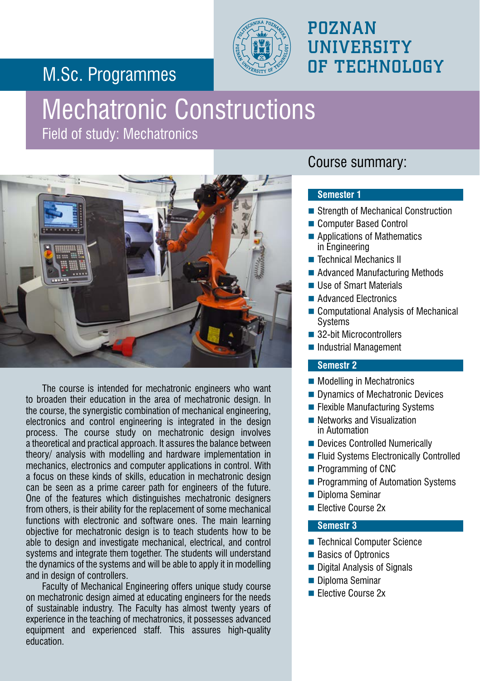## M.Sc. Programmes



### POZNAN **UNIVERSITY** OF TECHNOLOGY

# Mechatronic Constructions

Field of study: Mechatronics



The course is intended for mechatronic engineers who want to broaden their education in the area of mechatronic design. In the course, the synergistic combination of mechanical engineering, electronics and control engineering is integrated in the design process. The course study on mechatronic design involves a theoretical and practical approach. It assures the balance between theory/ analysis with modelling and hardware implementation in mechanics, electronics and computer applications in control. With a focus on these kinds of skills, education in mechatronic design can be seen as a prime career path for engineers of the future. One of the features which distinguishes mechatronic designers from others, is their ability for the replacement of some mechanical functions with electronic and software ones. The main learning objective for mechatronic design is to teach students how to be able to design and investigate mechanical, electrical, and control systems and integrate them together. The students will understand the dynamics of the systems and will be able to apply it in modelling and in design of controllers.

Faculty of Mechanical Engineering offers unique study course on mechatronic design aimed at educating engineers for the needs of sustainable industry. The Faculty has almost twenty years of experience in the teaching of mechatronics, it possesses advanced equipment and experienced staff. This assures high-quality education.

### Course summary:

#### **Semester 1**

- Strength of Mechanical Construction
- Computer Based Control
- Applications of Mathematics in Engineering
- Technical Mechanics II
- Advanced Manufacturing Methods
- Use of Smart Materials
- **Advanced Electronics**
- Computational Analysis of Mechanical **Systems**
- 32-bit Microcontrollers
- Industrial Management

#### **Semestr 2**

- **Modelling in Mechatronics**
- Dynamics of Mechatronic Devices
- $\blacksquare$  Flexible Manufacturing Systems
- Networks and Visualization in Automation
- Devices Controlled Numerically
- **Fluid Systems Electronically Controlled**
- Programming of CNC
- **Programming of Automation Systems**
- Diploma Seminar
- **Elective Course 2x**

#### **Semestr 3**

- Technical Computer Science
- Basics of Optronics
- Digital Analysis of Signals
- Diploma Seminar
- **Elective Course 2x**